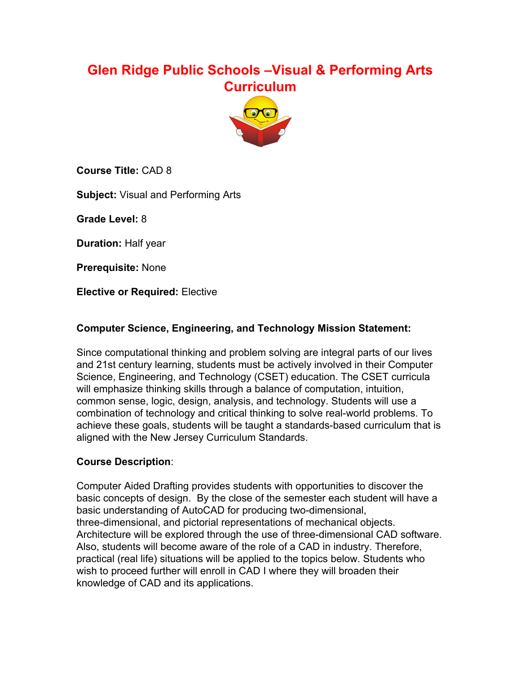# **Glen Ridge Public Schools –Visual & Performing Arts Curriculum**



**Course Title:** CAD 8

**Subject:** Visual and Performing Arts

**Grade Level:** 8

**Duration:** Half year

**Prerequisite:** None

**Elective or Required:** Elective

#### **Computer Science, Engineering, and Technology Mission Statement:**

Since computational thinking and problem solving are integral parts of our lives and 21st century learning, students must be actively involved in their Computer Science, Engineering, and Technology (CSET) education. The CSET curricula will emphasize thinking skills through a balance of computation, intuition, common sense, logic, design, analysis, and technology. Students will use a combination of technology and critical thinking to solve real-world problems. To achieve these goals, students will be taught a standards-based curriculum that is aligned with the New Jersey Curriculum Standards.

#### **Course Description**:

Computer Aided Drafting provides students with opportunities to discover the basic concepts of design. By the close of the semester each student will have a basic understanding of AutoCAD for producing two-dimensional, three-dimensional, and pictorial representations of mechanical objects. Architecture will be explored through the use of three-dimensional CAD software. Also, students will become aware of the role of a CAD in industry. Therefore, practical (real life) situations will be applied to the topics below. Students who wish to proceed further will enroll in CAD I where they will broaden their knowledge of CAD and its applications.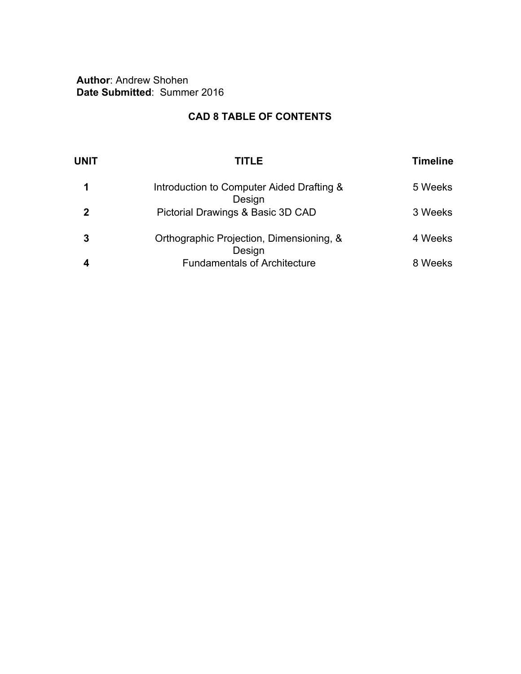**Author**: Andrew Shohen **Date Submitted**: Summer 2016

## **CAD 8 TABLE OF CONTENTS**

| <b>UNIT</b> | TITLE                                               | <b>Timeline</b> |
|-------------|-----------------------------------------------------|-----------------|
|             | Introduction to Computer Aided Drafting &<br>Design | 5 Weeks         |
| 2           | Pictorial Drawings & Basic 3D CAD                   | 3 Weeks         |
| 3           | Orthographic Projection, Dimensioning, &<br>Design  | 4 Weeks         |
|             | <b>Fundamentals of Architecture</b>                 | 8 Weeks         |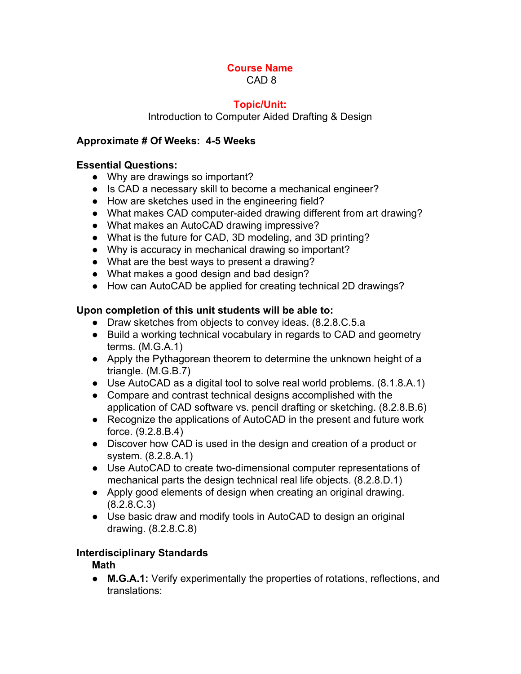CAD 8

## **Topic/Unit:**

Introduction to Computer Aided Drafting & Design

## **Approximate # Of Weeks: 45 Weeks**

### **Essential Questions:**

- Why are drawings so important?
- Is CAD a necessary skill to become a mechanical engineer?
- How are sketches used in the engineering field?
- What makes CAD computer-aided drawing different from art drawing?
- What makes an AutoCAD drawing impressive?
- What is the future for CAD, 3D modeling, and 3D printing?
- Why is accuracy in mechanical drawing so important?
- What are the best ways to present a drawing?
- What makes a good design and bad design?
- How can AutoCAD be applied for creating technical 2D drawings?

## **Upon completion of this unit students will be able to:**

- Draw sketches from objects to convey ideas. (8.2.8.C.5.a
- Build a working technical vocabulary in regards to CAD and geometry terms. (M.G.A.1)
- Apply the Pythagorean theorem to determine the unknown height of a triangle. (M.G.B.7)
- Use AutoCAD as a digital tool to solve real world problems. (8.1.8.A.1)
- Compare and contrast technical designs accomplished with the application of CAD software vs. pencil drafting or sketching. (8.2.8.B.6)
- Recognize the applications of AutoCAD in the present and future work force. (9.2.8.B.4)
- Discover how CAD is used in the design and creation of a product or system. (8.2.8.A.1)
- Use AutoCAD to create two-dimensional computer representations of mechanical parts the design technical real life objects. (8.2.8.D.1)
- *●* Apply good elements of design when creating an original drawing. (8.2.8.C.3)
- Use basic draw and modify tools in AutoCAD to design an original drawing. (8.2.8.C.8)

## **Interdisciplinary Standards**

**Math**

● **M.G.A.1:** Verify experimentally the properties of rotations, reflections, and translations: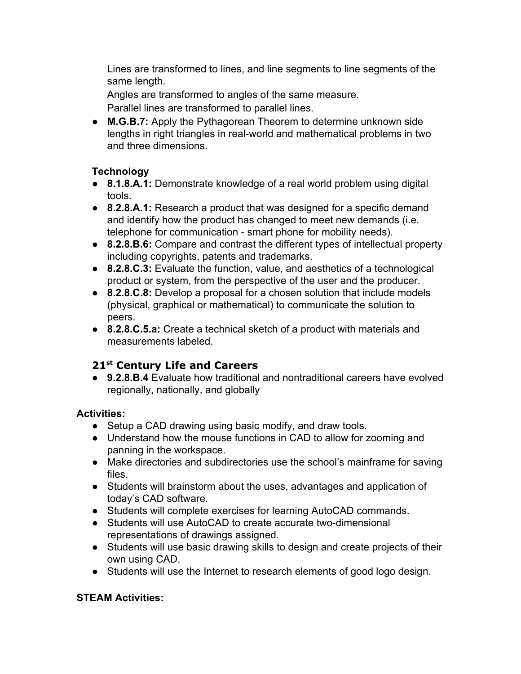Lines are transformed to lines, and line segments to line segments of the same length.

Angles are transformed to angles of the same measure.

Parallel lines are transformed to parallel lines.

● **M.G.B.7:** Apply the Pythagorean Theorem to determine unknown side lengths in right triangles in real-world and mathematical problems in two and three dimensions.

## **Technology**

- **8.1.8.A.1:** Demonstrate knowledge of a real world problem using digital tools.
- **8.2.8.A.1:** Research a product that was designed for a specific demand and identify how the product has changed to meet new demands (i.e. telephone for communication - smart phone for mobility needs).
- **8.2.8.B.6:** Compare and contrast the different types of intellectual property including copyrights, patents and trademarks.
- **8.2.8.C.3:** Evaluate the function, value, and aesthetics of a technological product or system, from the perspective of the user and the producer.
- **8.2.8.C.8:** Develop a proposal for a chosen solution that include models (physical, graphical or mathematical) to communicate the solution to peers.
- **8.2.8.C.5.a:** Create a technical sketch of a product with materials and measurements labeled.

## **21 st Century Life and Careers**

● **9.2.8.B.4** Evaluate how traditional and nontraditional careers have evolved regionally, nationally, and globally

## **Activities:**

- Setup a CAD drawing using basic modify, and draw tools.
- Understand how the mouse functions in CAD to allow for zooming and panning in the workspace.
- Make directories and subdirectories use the school's mainframe for saving files.
- Students will brainstorm about the uses, advantages and application of today's CAD software.
- Students will complete exercises for learning AutoCAD commands.
- Students will use AutoCAD to create accurate two-dimensional representations of drawings assigned.
- Students will use basic drawing skills to design and create projects of their own using CAD.
- Students will use the Internet to research elements of good logo design.

## **STEAM Activities:**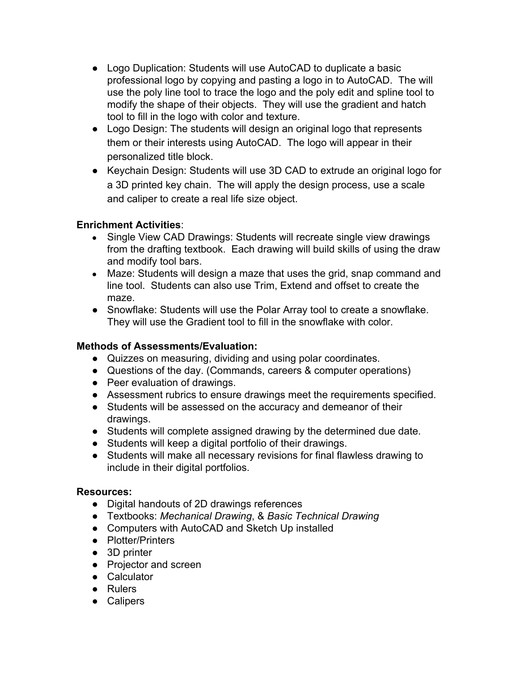- Logo Duplication: Students will use AutoCAD to duplicate a basic professional logo by copying and pasting a logo in to AutoCAD. The will use the poly line tool to trace the logo and the poly edit and spline tool to modify the shape of their objects. They will use the gradient and hatch tool to fill in the logo with color and texture.
- Logo Design: The students will design an original logo that represents them or their interests using AutoCAD. The logo will appear in their personalized title block.
- Keychain Design: Students will use 3D CAD to extrude an original logo for a 3D printed key chain. The will apply the design process, use a scale and caliper to create a real life size object.

#### **Enrichment Activities**:

- Single View CAD Drawings: Students will recreate single view drawings from the drafting textbook. Each drawing will build skills of using the draw and modify tool bars.
- Maze: Students will design a maze that uses the grid, snap command and line tool. Students can also use Trim, Extend and offset to create the maze.
- Snowflake: Students will use the Polar Array tool to create a snowflake. They will use the Gradient tool to fill in the snowflake with color.

#### **Methods of Assessments/Evaluation:**

- Quizzes on measuring, dividing and using polar coordinates.
- Questions of the day. (Commands, careers & computer operations)
- Peer evaluation of drawings.
- Assessment rubrics to ensure drawings meet the requirements specified.
- **●** Students will be assessed on the accuracy and demeanor of their drawings.
- Students will complete assigned drawing by the determined due date.
- Students will keep a digital portfolio of their drawings.
- Students will make all necessary revisions for final flawless drawing to include in their digital portfolios.

#### **Resources:**

- **●** Digital handouts of 2D drawings references
- **●** Textbooks: *Mechanical Drawing*, & *Basic Technical Drawing*
- **●** Computers with AutoCAD and Sketch Up installed
- **●** Plotter/Printers
- **●** 3D printer
- **●** Projector and screen
- **●** Calculator
- **●** Rulers
- **●** Calipers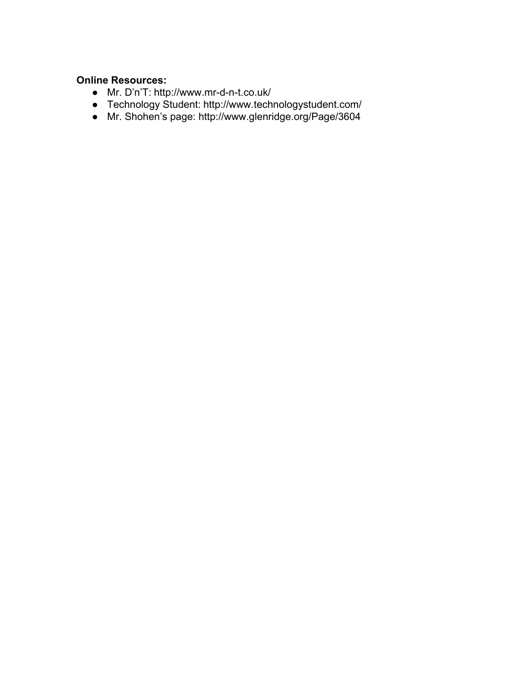### **Online Resources:**

- **•** Mr. D'n'T: http://www.mr-d-n-t.co.uk/
- **●** Technology Student: http://www.technologystudent.com/
- Mr. Shohen's page: http://www.glenridge.org/Page/3604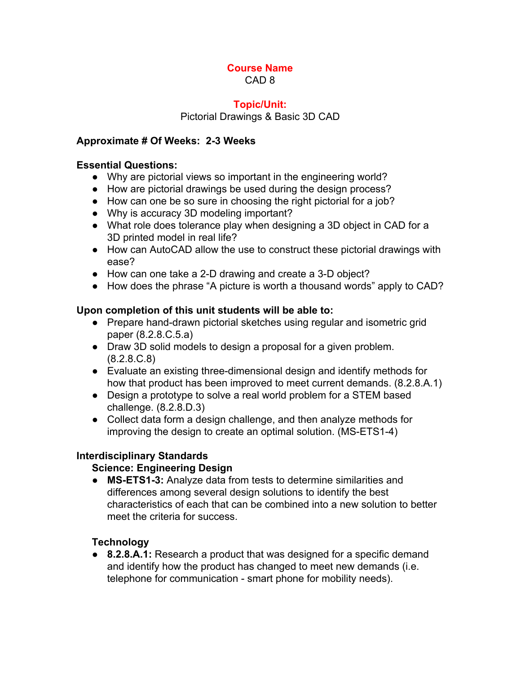CAD 8

#### **Topic/Unit:**

Pictorial Drawings & Basic 3D CAD

#### **Approximate # Of Weeks: 23 Weeks**

#### **Essential Questions:**

- Why are pictorial views so important in the engineering world?
- How are pictorial drawings be used during the design process?
- How can one be so sure in choosing the right pictorial for a job?
- Why is accuracy 3D modeling important?
- What role does tolerance play when designing a 3D object in CAD for a 3D printed model in real life?
- How can AutoCAD allow the use to construct these pictorial drawings with ease?
- How can one take a 2-D drawing and create a 3-D object?
- How does the phrase "A picture is worth a thousand words" apply to CAD?

#### **Upon completion of this unit students will be able to:**

- Prepare hand-drawn pictorial sketches using regular and isometric grid paper (8.2.8.C.5.a)
- Draw 3D solid models to design a proposal for a given problem. (8.2.8.C.8)
- Evaluate an existing three-dimensional design and identify methods for how that product has been improved to meet current demands. (8.2.8.A.1)
- Design a prototype to solve a real world problem for a STEM based challenge. (8.2.8.D.3)
- Collect data form a design challenge, and then analyze methods for improving the design to create an optimal solution. (MS-ETS1-4)

#### **Interdisciplinary Standards**

#### **Science: Engineering Design**

● **MSETS13:** Analyze data from tests to determine similarities and differences among several design solutions to identify the best characteristics of each that can be combined into a new solution to better meet the criteria for success.

#### **Technology**

● **8.2.8.A.1:** Research a product that was designed for a specific demand and identify how the product has changed to meet new demands (i.e. telephone for communication - smart phone for mobility needs).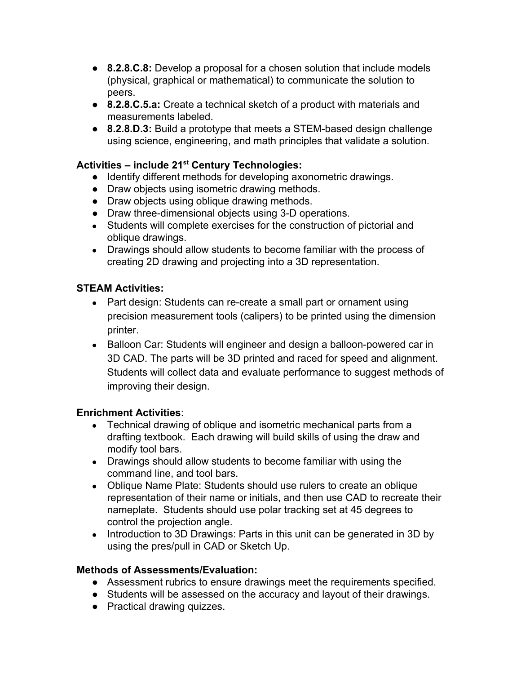- **8.2.8.C.8:** Develop a proposal for a chosen solution that include models (physical, graphical or mathematical) to communicate the solution to peers.
- **8.2.8.C.5.a:** Create a technical sketch of a product with materials and measurements labeled.
- **8.2.8.D.3:** Build a prototype that meets a STEM-based design challenge using science, engineering, and math principles that validate a solution.

## **Activities – include 21 st Century Technologies:**

- Identify different methods for developing axonometric drawings.
- Draw objects using isometric drawing methods.
- Draw objects using oblique drawing methods.
- Draw three-dimensional objects using 3-D operations.
- Students will complete exercises for the construction of pictorial and oblique drawings.
- Drawings should allow students to become familiar with the process of creating 2D drawing and projecting into a 3D representation.

## **STEAM Activities:**

- Part design: Students can re-create a small part or ornament using precision measurement tools (calipers) to be printed using the dimension printer.
- Balloon Car: Students will engineer and design a balloon-powered car in 3D CAD. The parts will be 3D printed and raced for speed and alignment. Students will collect data and evaluate performance to suggest methods of improving their design.

#### **Enrichment Activities**:

- Technical drawing of oblique and isometric mechanical parts from a drafting textbook. Each drawing will build skills of using the draw and modify tool bars.
- Drawings should allow students to become familiar with using the command line, and tool bars.
- Oblique Name Plate: Students should use rulers to create an oblique representation of their name or initials, and then use CAD to recreate their nameplate. Students should use polar tracking set at 45 degrees to control the projection angle.
- Introduction to 3D Drawings: Parts in this unit can be generated in 3D by using the pres/pull in CAD or Sketch Up.

#### **Methods of Assessments/Evaluation:**

- Assessment rubrics to ensure drawings meet the requirements specified.
- **●** Students will be assessed on the accuracy and layout of their drawings.
- Practical drawing quizzes.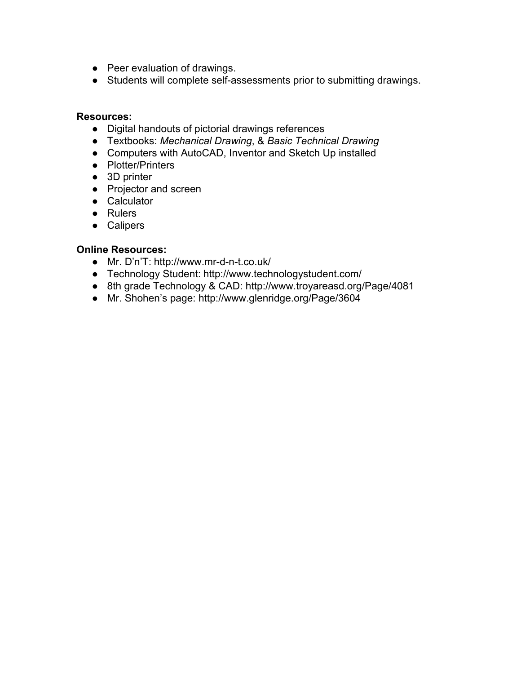- Peer evaluation of drawings.
- Students will complete self-assessments prior to submitting drawings.

#### **Resources:**

- **●** Digital handouts of pictorial drawings references
- **●** Textbooks: *Mechanical Drawing*, & *Basic Technical Drawing*
- **●** Computers with AutoCAD, Inventor and Sketch Up installed
- **●** Plotter/Printers
- **●** 3D printer
- **●** Projector and screen
- **●** Calculator
- **●** Rulers
- **●** Calipers

#### **Online Resources:**

- Mr. D'n'T: http://www.mr-d-n-t.co.uk/
- **●** Technology Student: http://www.technologystudent.com/
- 8th grade Technology & CAD: http://www.troyareasd.org/Page/4081
- Mr. Shohen's page: http://www.glenridge.org/Page/3604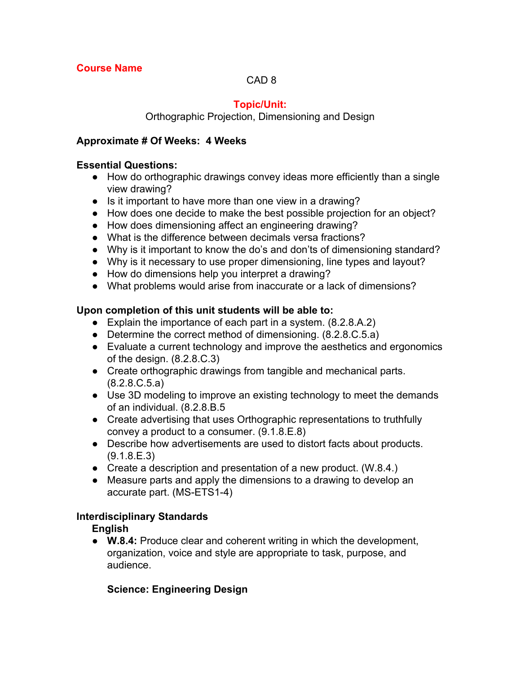### CAD 8

## **Topic/Unit:**

Orthographic Projection, Dimensioning and Design

#### **Approximate # Of Weeks: 4 Weeks**

#### **Essential Questions:**

- How do orthographic drawings convey ideas more efficiently than a single view drawing?
- Is it important to have more than one view in a drawing?
- How does one decide to make the best possible projection for an object?
- How does dimensioning affect an engineering drawing?
- What is the difference between decimals versa fractions?
- Why is it important to know the do's and don'ts of dimensioning standard?
- Why is it necessary to use proper dimensioning, line types and layout?
- How do dimensions help you interpret a drawing?
- What problems would arise from inaccurate or a lack of dimensions?

#### **Upon completion of this unit students will be able to:**

- Explain the importance of each part in a system. (8.2.8.A.2)
- Determine the correct method of dimensioning. (8.2.8.C.5.a)
- Evaluate a current technology and improve the aesthetics and ergonomics of the design. (8.2.8.C.3)
- Create orthographic drawings from tangible and mechanical parts. (8.2.8.C.5.a)
- Use 3D modeling to improve an existing technology to meet the demands of an individual. (8.2.8.B.5
- Create advertising that uses Orthographic representations to truthfully convey a product to a consumer. (9.1.8.E.8)
- Describe how advertisements are used to distort facts about products. (9.1.8.E.3)
- Create a description and presentation of a new product. (W.8.4.)
- Measure parts and apply the dimensions to a drawing to develop an accurate part. (MS-ETS1-4)

#### **Interdisciplinary Standards**

**English**

**● W.8.4:** Produce clear and coherent writing in which the development, organization, voice and style are appropriate to task, purpose, and audience.

#### **Science: Engineering Design**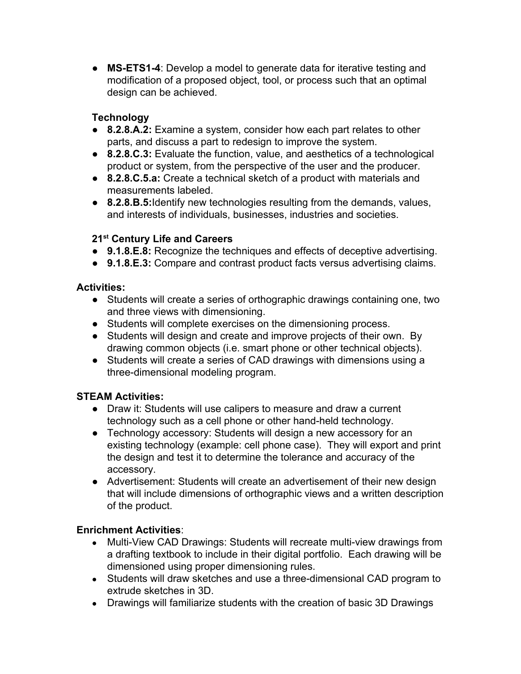● **MSETS14**: Develop a model to generate data for iterative testing and modification of a proposed object, tool, or process such that an optimal design can be achieved.

## **Technology**

- **8.2.8.A.2:** Examine a system, consider how each part relates to other parts, and discuss a part to redesign to improve the system.
- **8.2.8.C.3:** Evaluate the function, value, and aesthetics of a technological product or system, from the perspective of the user and the producer.
- **8.2.8.C.5.a:** Create a technical sketch of a product with materials and measurements labeled.
- **8.2.8.B.5:**Identify new technologies resulting from the demands, values, and interests of individuals, businesses, industries and societies.

## **21 st Century Life and Careers**

- **9.1.8.E.8:** Recognize the techniques and effects of deceptive advertising.
- **9.1.8.E.3:** Compare and contrast product facts versus advertising claims.

## **Activities:**

- Students will create a series of orthographic drawings containing one, two and three views with dimensioning.
- Students will complete exercises on the dimensioning process.
- Students will design and create and improve projects of their own. By drawing common objects (i.e. smart phone or other technical objects).
- Students will create a series of CAD drawings with dimensions using a three-dimensional modeling program.

## **STEAM Activities:**

- Draw it: Students will use calipers to measure and draw a current technology such as a cell phone or other hand-held technology.
- Technology accessory: Students will design a new accessory for an existing technology (example: cell phone case). They will export and print the design and test it to determine the tolerance and accuracy of the accessory.
- Advertisement: Students will create an advertisement of their new design that will include dimensions of orthographic views and a written description of the product.

## **Enrichment Activities**:

- Multi-View CAD Drawings: Students will recreate multi-view drawings from a drafting textbook to include in their digital portfolio. Each drawing will be dimensioned using proper dimensioning rules.
- Students will draw sketches and use a three-dimensional CAD program to extrude sketches in 3D.
- Drawings will familiarize students with the creation of basic 3D Drawings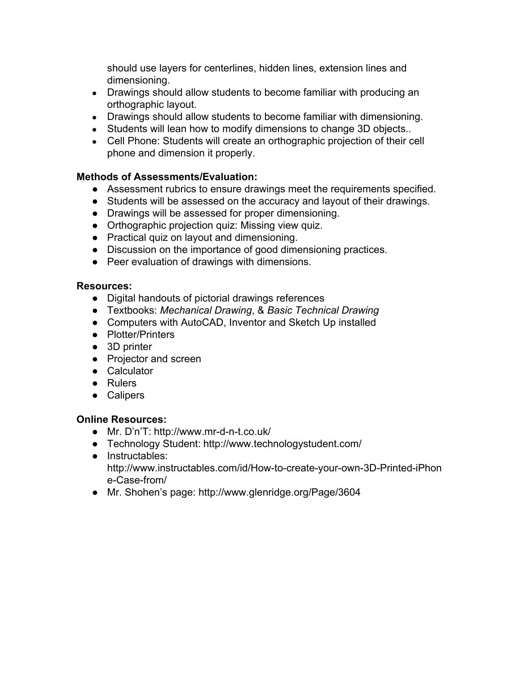should use layers for centerlines, hidden lines, extension lines and dimensioning.

- Drawings should allow students to become familiar with producing an orthographic layout.
- Drawings should allow students to become familiar with dimensioning.
- Students will lean how to modify dimensions to change 3D objects..
- Cell Phone: Students will create an orthographic projection of their cell phone and dimension it properly.

#### **Methods of Assessments/Evaluation:**

- Assessment rubrics to ensure drawings meet the requirements specified.
- **●** Students will be assessed on the accuracy and layout of their drawings.
- **●** Drawings will be assessed for proper dimensioning.
- **●** Orthographic projection quiz: Missing view quiz.
- Practical quiz on layout and dimensioning.
- Discussion on the importance of good dimensioning practices.
- Peer evaluation of drawings with dimensions.

#### **Resources:**

- **●** Digital handouts of pictorial drawings references
- **●** Textbooks: *Mechanical Drawing*, & *Basic Technical Drawing*
- **●** Computers with AutoCAD, Inventor and Sketch Up installed
- **●** Plotter/Printers
- **●** 3D printer
- **●** Projector and screen
- **●** Calculator
- **●** Rulers
- **●** Calipers

#### **Online Resources:**

- Mr. D'n'T: http://www.mr-d-n-t.co.uk/
- **●** Technology Student: http://www.technologystudent.com/
- **●** Instructables: http://www.instructables.com/id/How-to-create-your-own-3D-Printed-iPhon e-Case-from/
- Mr. Shohen's page: http://www.glenridge.org/Page/3604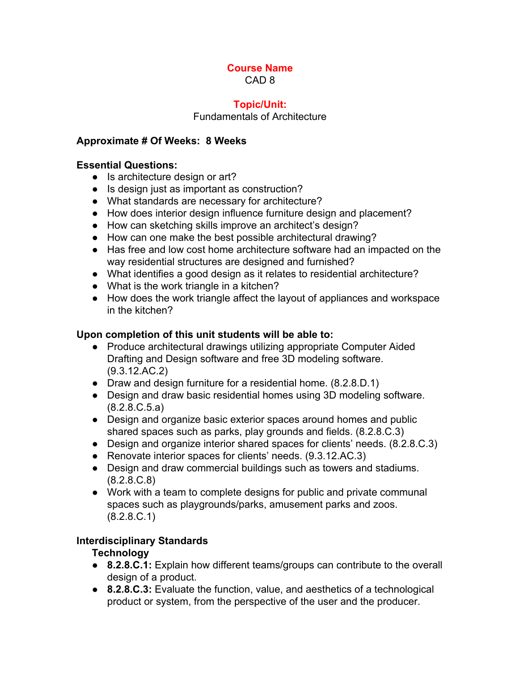CAD 8

#### **Topic/Unit:**

Fundamentals of Architecture

### **Approximate # Of Weeks: 8 Weeks**

### **Essential Questions:**

- Is architecture design or art?
- Is design just as important as construction?
- What standards are necessary for architecture?
- How does interior design influence furniture design and placement?
- How can sketching skills improve an architect's design?
- How can one make the best possible architectural drawing?
- Has free and low cost home architecture software had an impacted on the way residential structures are designed and furnished?
- What identifies a good design as it relates to residential architecture?
- What is the work triangle in a kitchen?
- How does the work triangle affect the layout of appliances and workspace in the kitchen?

### **Upon completion of this unit students will be able to:**

- Produce architectural drawings utilizing appropriate Computer Aided Drafting and Design software and free 3D modeling software. (9.3.12.AC.2)
- Draw and design furniture for a residential home. (8.2.8.D.1)
- Design and draw basic residential homes using 3D modeling software. (8.2.8.C.5.a)
- Design and organize basic exterior spaces around homes and public shared spaces such as parks, play grounds and fields. (8.2.8.C.3)
- Design and organize interior shared spaces for clients' needs. (8.2.8.C.3)
- Renovate interior spaces for clients' needs. (9.3.12.AC.3)
- Design and draw commercial buildings such as towers and stadiums. (8.2.8.C.8)
- Work with a team to complete designs for public and private communal spaces such as playgrounds/parks, amusement parks and zoos. (8.2.8.C.1)

## **Interdisciplinary Standards**

#### **Technology**

- **8.2.8.C.1:** Explain how different teams/groups can contribute to the overall design of a product.
- **● 8.2.8.C.3:** Evaluate the function, value, and aesthetics of a technological product or system, from the perspective of the user and the producer.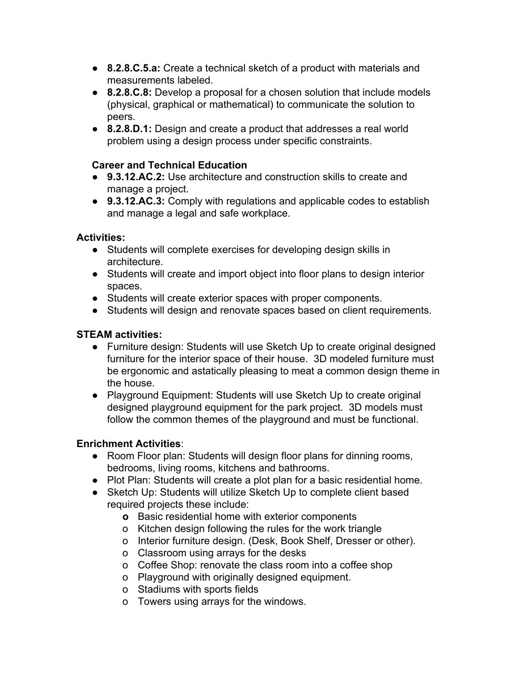- **● 8.2.8.C.5.a:** Create a technical sketch of a product with materials and measurements labeled.
- **8.2.8.C.8:** Develop a proposal for a chosen solution that include models (physical, graphical or mathematical) to communicate the solution to peers.
- **8.2.8.D.1:** Design and create a product that addresses a real world problem using a design process under specific constraints.

### **Career and Technical Education**

- **● 9.3.12.AC.2:** Use architecture and construction skills to create and manage a project.
- **9.3.12.AC.3:** Comply with regulations and applicable codes to establish and manage a legal and safe workplace.

#### **Activities:**

- Students will complete exercises for developing design skills in architecture.
- Students will create and import object into floor plans to design interior spaces.
- Students will create exterior spaces with proper components.
- Students will design and renovate spaces based on client requirements.

## **STEAM activities:**

- Furniture design: Students will use Sketch Up to create original designed furniture for the interior space of their house. 3D modeled furniture must be ergonomic and astatically pleasing to meat a common design theme in the house.
- Playground Equipment: Students will use Sketch Up to create original designed playground equipment for the park project. 3D models must follow the common themes of the playground and must be functional.

## **Enrichment Activities**:

- **●** Room Floor plan: Students will design floor plans for dinning rooms, bedrooms, living rooms, kitchens and bathrooms.
- **●** Plot Plan: Students will create a plot plan for a basic residential home.
- **●** Sketch Up: Students will utilize Sketch Up to complete client based required projects these include:
	- **o** Basic residential home with exterior components
	- o Kitchen design following the rules for the work triangle
	- o Interior furniture design. (Desk, Book Shelf, Dresser or other).
	- o Classroom using arrays for the desks
	- o Coffee Shop: renovate the class room into a coffee shop
	- o Playground with originally designed equipment.
	- o Stadiums with sports fields
	- o Towers using arrays for the windows.